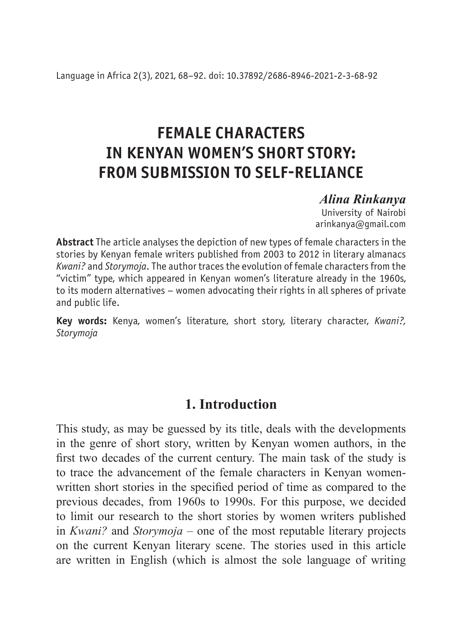# **FEMALE CHARACTERS IN KENYAN WOMEN'S SHORT STORY: FROM SUBMISSION TO SELF-RELIANCE**

### *Alina Rinkanya*

University of Nairobi arinkanya@gmail.com

**Abstract** The article analyses the depiction of new types of female characters in the stories by Kenyan female writers published from 2003 to 2012 in literary almanacs *Kwani?* and *Storymoja*. The author traces the evolution of female characters from the "victim" type, which appeared in Kenyan women's literature already in the 1960s, to its modern alternatives – women advocating their rights in all spheres of private and public life.

**Key words:** Kenya, women's literature, short story, literary character, *Kwani?, Storymoja*

# **1. Introduction**

This study, as may be guessed by its title, deals with the developments in the genre of short story, written by Kenyan women authors, in the first two decades of the current century. The main task of the study is to trace the advancement of the female characters in Kenyan womenwritten short stories in the specified period of time as compared to the previous decades, from 1960s to 1990s. For this purpose, we decided to limit our research to the short stories by women writers published in *Kwani?* and *Storymoja* – one of the most reputable literary projects on the current Kenyan literary scene. The stories used in this article are written in English (which is almost the sole language of writing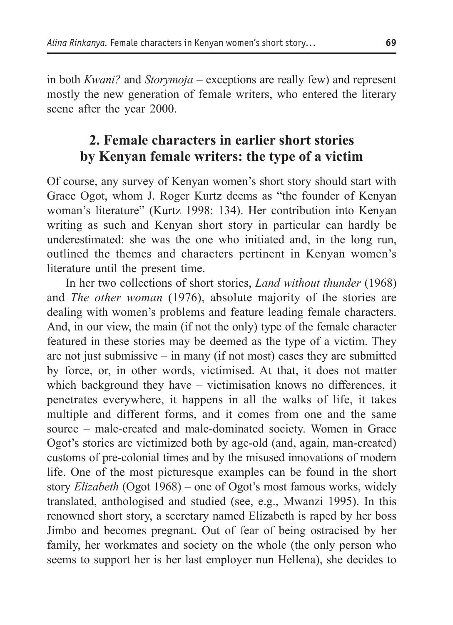in both *Kwani?* and *Storymoja* – exceptions are really few) and represent mostly the new generation of female writers, who entered the literary scene after the year 2000.

# **2. Female characters in earlier short stories by Kenyan female writers: the type of a victim**

Of course, any survey of Kenyan women's short story should start with Grace Ogot, whom J. Roger Kurtz deems as "the founder of Kenyan woman's literature" (Kurtz 1998: 134). Her contribution into Kenyan writing as such and Kenyan short story in particular can hardly be underestimated: she was the one who initiated and, in the long run, outlined the themes and characters pertinent in Kenyan women's literature until the present time.

In her two collections of short stories, *Land without thunder* (1968) and *The other woman* (1976), absolute majority of the stories are dealing with women's problems and feature leading female characters. And, in our view, the main (if not the only) type of the female character featured in these stories may be deemed as the type of a victim. They are not just submissive – in many (if not most) cases they are submitted by force, or, in other words, victimised. At that, it does not matter which background they have – victimisation knows no differences, it penetrates everywhere, it happens in all the walks of life, it takes multiple and different forms, and it comes from one and the same source – male-created and male-dominated society. Women in Grace Ogot's stories are victimized both by age-old (and, again, man-created) customs of pre-colonial times and by the misused innovations of modern life. One of the most picturesque examples can be found in the short story *Elizabeth* (Ogot 1968) – one of Ogot's most famous works, widely translated, anthologised and studied (see, e.g., Mwanzi 1995). In this renowned short story, a secretary named Elizabeth is raped by her boss Jimbo and becomes pregnant. Out of fear of being ostracised by her family, her workmates and society on the whole (the only person who seems to support her is her last employer nun Hellena), she decides to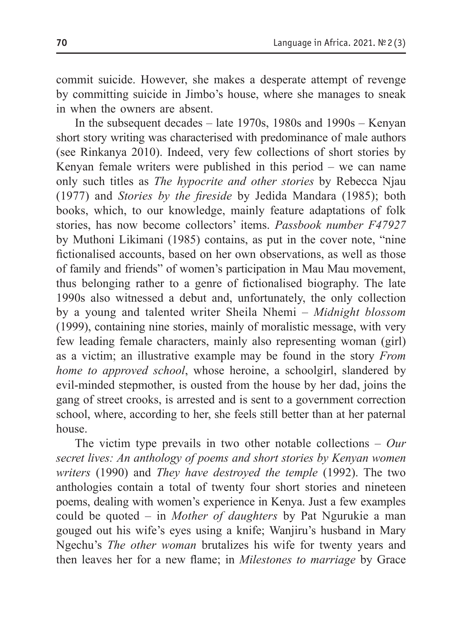commit suicide. However, she makes a desperate attempt of revenge by committing suicide in Jimbo's house, where she manages to sneak in when the owners are absent.

In the subsequent decades – late 1970s, 1980s and 1990s – Kenyan short story writing was characterised with predominance of male authors (see Rinkanya 2010). Indeed, very few collections of short stories by Kenyan female writers were published in this period – we can name only such titles as *The hypocrite and other stories* by Rebecca Njau (1977) and *Stories by the fireside* by Jedida Mandara (1985); both books, which, to our knowledge, mainly feature adaptations of folk stories, has now become collectors' items. *Passbook number F47927* by Muthoni Likimani (1985) contains, as put in the cover note, "nine fictionalised accounts, based on her own observations, as well as those of family and friends" of women's participation in Mau Mau movement, thus belonging rather to a genre of fictionalised biography. The late 1990s also witnessed a debut and, unfortunately, the only collection by a young and talented writer Sheila Nhemi – *Midnight blossom* (1999), containing nine stories, mainly of moralistic message, with very few leading female characters, mainly also representing woman (girl) as a victim; an illustrative example may be found in the story *From home to approved school*, whose heroine, a schoolgirl, slandered by evil-minded stepmother, is ousted from the house by her dad, joins the gang of street crooks, is arrested and is sent to a government correction school, where, according to her, she feels still better than at her paternal house.

The victim type prevails in two other notable collections – *Our secret lives: An anthology of poems and short stories by Kenyan women writers* (1990) and *They have destroyed the temple* (1992). The two anthologies contain a total of twenty four short stories and nineteen poems, dealing with women's experience in Kenya. Just a few examples could be quoted – in *Mother of daughters* by Pat Ngurukie a man gouged out his wife's eyes using a knife; Wanjiru's husband in Mary Ngechu's *The other woman* brutalizes his wife for twenty years and then leaves her for a new flame; in *Milestones to marriage* by Grace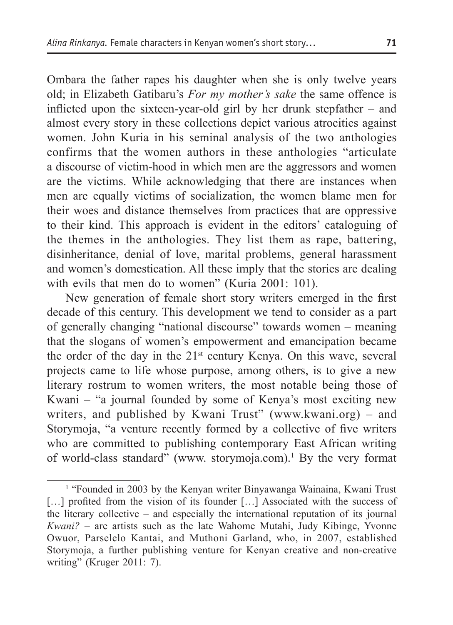Ombara the father rapes his daughter when she is only twelve years old; in Elizabeth Gatibaru's *For my mother's sake* the same offence is inflicted upon the sixteen-year-old girl by her drunk stepfather – and almost every story in these collections depict various atrocities against women. John Kuria in his seminal analysis of the two anthologies confirms that the women authors in these anthologies "articulate a discourse of victim-hood in which men are the aggressors and women are the victims. While acknowledging that there are instances when men are equally victims of socialization, the women blame men for their woes and distance themselves from practices that are oppressive to their kind. This approach is evident in the editors' cataloguing of the themes in the anthologies. They list them as rape, battering, disinheritance, denial of love, marital problems, general harassment and women's domestication. All these imply that the stories are dealing with evils that men do to women" (Kuria 2001: 101).

New generation of female short story writers emerged in the first decade of this century. This development we tend to consider as a part of generally changing "national discourse" towards women – meaning that the slogans of women's empowerment and emancipation became the order of the day in the 21<sup>st</sup> century Kenya. On this wave, several projects came to life whose purpose, among others, is to give a new literary rostrum to women writers, the most notable being those of Kwani – "a journal founded by some of Kenya's most exciting new writers, and published by Kwani Trust" (www.kwani.org) – and Storymoja, "a venture recently formed by a collective of five writers who are committed to publishing contemporary East African writing of world-class standard" (www. storymoja.com).<sup>1</sup> By the very format

<sup>&</sup>lt;sup>1</sup> "Founded in 2003 by the Kenyan writer Binyawanga Wainaina, Kwani Trust [...] profited from the vision of its founder [...] Associated with the success of the literary collective – and especially the international reputation of its journal *Kwani?* – are artists such as the late Wahome Mutahi, Judy Kibinge, Yvonne Owuor, Parselelo Kantai, and Muthoni Garland, who, in 2007, established Storymoja, a further publishing venture for Kenyan creative and non-creative writing" (Kruger 2011: 7).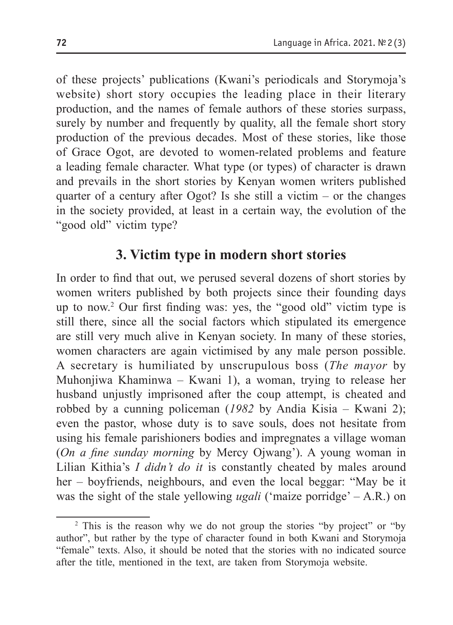of these projects' publications (Kwani's periodicals and Storymoja's website) short story occupies the leading place in their literary production, and the names of female authors of these stories surpass, surely by number and frequently by quality, all the female short story production of the previous decades. Most of these stories, like those of Grace Ogot, are devoted to women-related problems and feature a leading female character. What type (or types) of character is drawn and prevails in the short stories by Kenyan women writers published quarter of a century after Ogot? Is she still a victim – or the changes in the society provided, at least in a certain way, the evolution of the "good old" victim type?

### **3. Victim type in modern short stories**

In order to find that out, we perused several dozens of short stories by women writers published by both projects since their founding days up to now.2 Our first finding was: yes, the "good old" victim type is still there, since all the social factors which stipulated its emergence are still very much alive in Kenyan society. In many of these stories, women characters are again victimised by any male person possible. A secretary is humiliated by unscrupulous boss (*The mayor* by Muhonjiwa Khaminwa – Kwani 1), a woman, trying to release her husband unjustly imprisoned after the coup attempt, is cheated and robbed by a cunning policeman (*1982* by Andia Kisia – Kwani 2); even the pastor, whose duty is to save souls, does not hesitate from using his female parishioners bodies and impregnates a village woman (*On a fine sunday morning* by Mercy Ojwang'). A young woman in Lilian Kithia's *I didn't do it* is constantly cheated by males around her – boyfriends, neighbours, and even the local beggar: "May be it was the sight of the stale yellowing *ugali* ('maize porridge' – A.R.) on

<sup>&</sup>lt;sup>2</sup> This is the reason why we do not group the stories "by project" or "by author", but rather by the type of character found in both Kwani and Storymoja "female" texts. Also, it should be noted that the stories with no indicated source after the title, mentioned in the text, are taken from Storymoja website.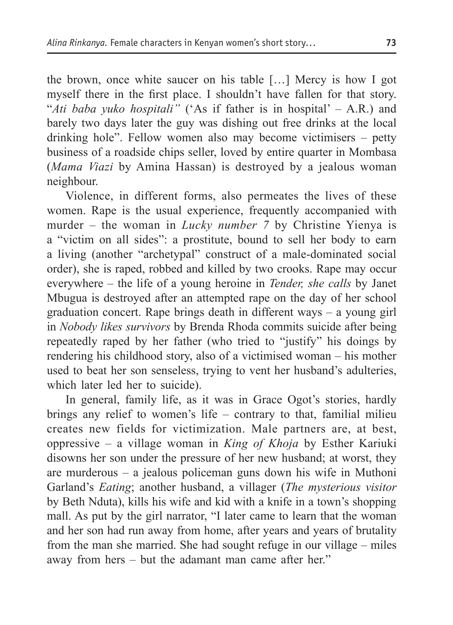the brown, once white saucer on his table […] Mercy is how I got myself there in the first place. I shouldn't have fallen for that story. "*Ati baba yuko hospitali"* ('As if father is in hospital' – A.R.) and barely two days later the guy was dishing out free drinks at the local drinking hole". Fellow women also may become victimisers – petty business of a roadside chips seller, loved by entire quarter in Mombasa (*Mama Viazi* by Amina Hassan) is destroyed by a jealous woman neighbour.

Violence, in different forms, also permeates the lives of these women. Rape is the usual experience, frequently accompanied with murder – the woman in *Lucky number 7* by Christine Yienya is a "victim on all sides": a prostitute, bound to sell her body to earn a living (another "archetypal" construct of a male-dominated social order), she is raped, robbed and killed by two crooks. Rape may occur everywhere – the life of a young heroine in *Tender, she calls* by Janet Mbugua is destroyed after an attempted rape on the day of her school graduation concert. Rape brings death in different ways – a young girl in *Nobody likes survivors* by Brenda Rhoda commits suicide after being repeatedly raped by her father (who tried to "justify" his doings by rendering his childhood story, also of a victimised woman – his mother used to beat her son senseless, trying to vent her husband's adulteries, which later led her to suicide).

In general, family life, as it was in Grace Ogot's stories, hardly brings any relief to women's life – contrary to that, familial milieu creates new fields for victimization. Male partners are, at best, oppressive – a village woman in *King of Khoja* by Esther Kariuki disowns her son under the pressure of her new husband; at worst, they are murderous – a jealous policeman guns down his wife in Muthoni Garland's *Eating*; another husband, a villager (*The mysterious visitor* by Beth Nduta), kills his wife and kid with a knife in a town's shopping mall. As put by the girl narrator, "I later came to learn that the woman and her son had run away from home, after years and years of brutality from the man she married. She had sought refuge in our village – miles away from hers – but the adamant man came after her."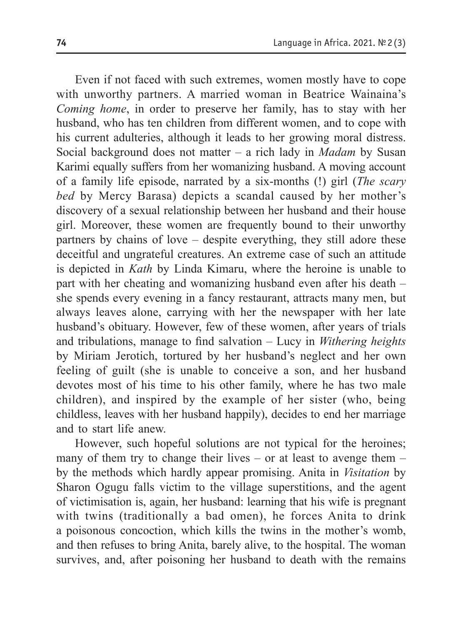Even if not faced with such extremes, women mostly have to cope with unworthy partners. A married woman in Beatrice Wainaina's *Coming home*, in order to preserve her family, has to stay with her husband, who has ten children from different women, and to cope with his current adulteries, although it leads to her growing moral distress. Social background does not matter – a rich lady in *Madam* by Susan Karimi equally suffers from her womanizing husband. A moving account of a family life episode, narrated by a six-months (!) girl (*The scary bed* by Mercy Barasa) depicts a scandal caused by her mother's discovery of a sexual relationship between her husband and their house girl. Moreover, these women are frequently bound to their unworthy partners by chains of love – despite everything, they still adore these deceitful and ungrateful creatures. An extreme case of such an attitude is depicted in *Kath* by Linda Kimaru, where the heroine is unable to part with her cheating and womanizing husband even after his death – she spends every evening in a fancy restaurant, attracts many men, but always leaves alone, carrying with her the newspaper with her late husband's obituary. However, few of these women, after years of trials and tribulations, manage to find salvation – Lucy in *Withering heights* by Miriam Jerotich, tortured by her husband's neglect and her own feeling of guilt (she is unable to conceive a son, and her husband devotes most of his time to his other family, where he has two male children), and inspired by the example of her sister (who, being childless, leaves with her husband happily), decides to end her marriage and to start life anew.

However, such hopeful solutions are not typical for the heroines; many of them try to change their lives – or at least to avenge them – by the methods which hardly appear promising. Anita in *Visitation* by Sharon Ogugu falls victim to the village superstitions, and the agent of victimisation is, again, her husband: learning that his wife is pregnant with twins (traditionally a bad omen), he forces Anita to drink a poisonous concoction, which kills the twins in the mother's womb, and then refuses to bring Anita, barely alive, to the hospital. The woman survives, and, after poisoning her husband to death with the remains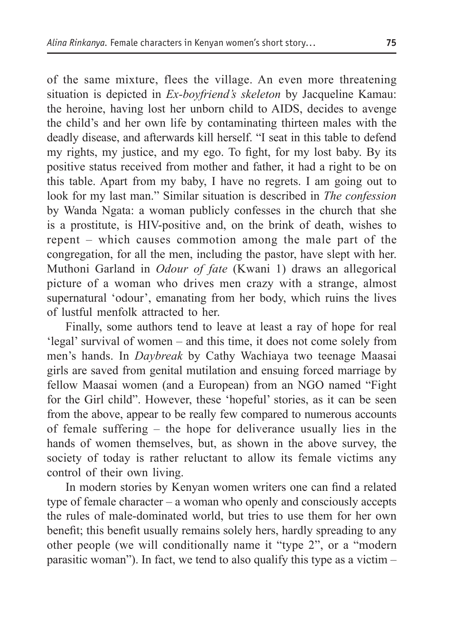of the same mixture, flees the village. An even more threatening situation is depicted in *Ex-boyfriend's skeleton* by Jacqueline Kamau: the heroine, having lost her unborn child to AIDS, decides to avenge the child's and her own life by contaminating thirteen males with the deadly disease, and afterwards kill herself. "I seat in this table to defend my rights, my justice, and my ego. To fight, for my lost baby. By its positive status received from mother and father, it had a right to be on this table. Apart from my baby, I have no regrets. I am going out to look for my last man." Similar situation is described in *The confession* by Wanda Ngata: a woman publicly confesses in the church that she is a prostitute, is HIV-positive and, on the brink of death, wishes to repent – which causes commotion among the male part of the congregation, for all the men, including the pastor, have slept with her. Muthoni Garland in *Odour of fate* (Kwani 1) draws an allegorical picture of a woman who drives men crazy with a strange, almost supernatural 'odour', emanating from her body, which ruins the lives of lustful menfolk attracted to her.

Finally, some authors tend to leave at least a ray of hope for real 'legal' survival of women – and this time, it does not come solely from men's hands. In *Daybreak* by Cathy Wachiaya two teenage Maasai girls are saved from genital mutilation and ensuing forced marriage by fellow Maasai women (and a European) from an NGO named "Fight for the Girl child". However, these 'hopeful' stories, as it can be seen from the above, appear to be really few compared to numerous accounts of female suffering – the hope for deliverance usually lies in the hands of women themselves, but, as shown in the above survey, the society of today is rather reluctant to allow its female victims any control of their own living.

In modern stories by Kenyan women writers one can find a related type of female character – a woman who openly and consciously accepts the rules of male-dominated world, but tries to use them for her own benefit; this benefit usually remains solely hers, hardly spreading to any other people (we will conditionally name it "type 2", or a "modern parasitic woman"). In fact, we tend to also qualify this type as a victim –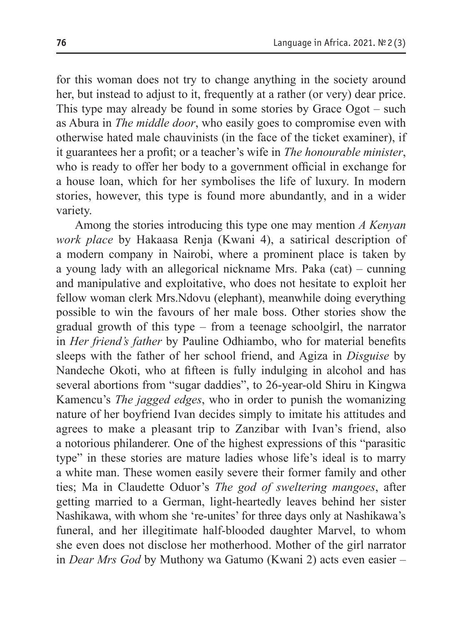for this woman does not try to change anything in the society around her, but instead to adjust to it, frequently at a rather (or very) dear price. This type may already be found in some stories by Grace Ogot – such as Abura in *The middle door*, who easily goes to compromise even with otherwise hated male chauvinists (in the face of the ticket examiner), if it guarantees her a profit; or a teacher's wife in *The honourable minister*, who is ready to offer her body to a government official in exchange for a house loan, which for her symbolises the life of luxury. In modern stories, however, this type is found more abundantly, and in a wider variety.

Among the stories introducing this type one may mention *A Kenyan work place* by Hakaasa Renja (Kwani 4), a satirical description of a modern company in Nairobi, where a prominent place is taken by a young lady with an allegorical nickname Mrs. Paka (cat) – cunning and manipulative and exploitative, who does not hesitate to exploit her fellow woman clerk Mrs.Ndovu (elephant), meanwhile doing everything possible to win the favours of her male boss. Other stories show the gradual growth of this type – from a teenage schoolgirl, the narrator in *Her friend's father* by Pauline Odhiambo, who for material benefits sleeps with the father of her school friend, and Agiza in *Disguise* by Nandeche Okoti, who at fifteen is fully indulging in alcohol and has several abortions from "sugar daddies", to 26-year-old Shiru in Kingwa Kamencu's *The jagged edges*, who in order to punish the womanizing nature of her boyfriend Ivan decides simply to imitate his attitudes and agrees to make a pleasant trip to Zanzibar with Ivan's friend, also a notorious philanderer. One of the highest expressions of this "parasitic type" in these stories are mature ladies whose life's ideal is to marry a white man. These women easily severe their former family and other ties; Ma in Claudette Oduor's *The god of sweltering mangoes*, after getting married to a German, light-heartedly leaves behind her sister Nashikawa, with whom she 're-unites' for three days only at Nashikawa's funeral, and her illegitimate half-blooded daughter Marvel, to whom she even does not disclose her motherhood. Mother of the girl narrator in *Dear Mrs God* by Muthony wa Gatumo (Kwani 2) acts even easier –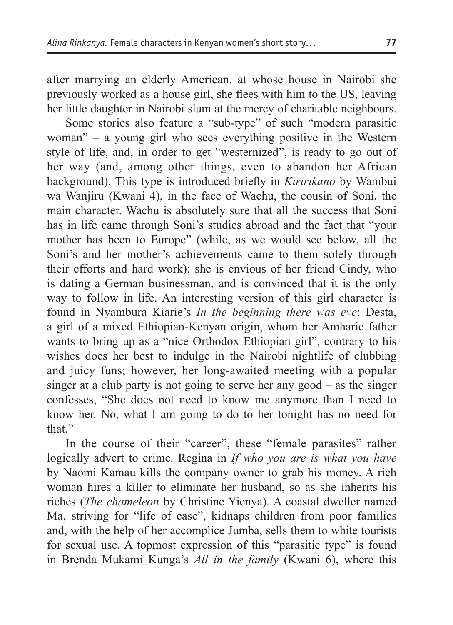after marrying an elderly American, at whose house in Nairobi she previously worked as a house girl, she flees with him to the US, leaving her little daughter in Nairobi slum at the mercy of charitable neighbours.

Some stories also feature a "sub-type" of such "modern parasitic woman" – a young girl who sees everything positive in the Western style of life, and, in order to get "westernized", is ready to go out of her way (and, among other things, even to abandon her African background). This type is introduced briefly in *Kiririkano* by Wambui wa Wanjiru (Kwani 4), in the face of Wachu, the cousin of Soni, the main character. Wachu is absolutely sure that all the success that Soni has in life came through Soni's studies abroad and the fact that "your mother has been to Europe" (while, as we would see below, all the Soni's and her mother's achievements came to them solely through their efforts and hard work); she is envious of her friend Cindy, who is dating a German businessman, and is convinced that it is the only way to follow in life. An interesting version of this girl character is found in Nyambura Kiarie's *In the beginning there was eve*: Desta, a girl of a mixed Ethiopian-Kenyan origin, whom her Amharic father wants to bring up as a "nice Orthodox Ethiopian girl", contrary to his wishes does her best to indulge in the Nairobi nightlife of clubbing and juicy funs; however, her long-awaited meeting with a popular singer at a club party is not going to serve her any good – as the singer confesses, "She does not need to know me anymore than I need to know her. No, what I am going to do to her tonight has no need for that"

In the course of their "career", these "female parasites" rather logically advert to crime. Regina in *If who you are is what you have* by Naomi Kamau kills the company owner to grab his money. A rich woman hires a killer to eliminate her husband, so as she inherits his riches (*The chameleon* by Christine Yienya). A coastal dweller named Ma, striving for "life of ease", kidnaps children from poor families and, with the help of her accomplice Jumba, sells them to white tourists for sexual use. A topmost expression of this "parasitic type" is found in Brenda Mukami Kunga's *All in the family* (Kwani 6), where this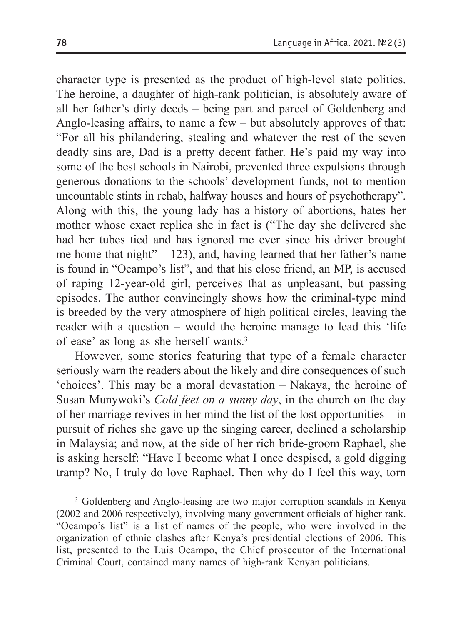character type is presented as the product of high-level state politics. The heroine, a daughter of high-rank politician, is absolutely aware of all her father's dirty deeds – being part and parcel of Goldenberg and Anglo-leasing affairs, to name a few – but absolutely approves of that: "For all his philandering, stealing and whatever the rest of the seven deadly sins are, Dad is a pretty decent father. He's paid my way into some of the best schools in Nairobi, prevented three expulsions through generous donations to the schools' development funds, not to mention uncountable stints in rehab, halfway houses and hours of psychotherapy". Along with this, the young lady has a history of abortions, hates her mother whose exact replica she in fact is ("The day she delivered she had her tubes tied and has ignored me ever since his driver brought me home that night"  $-123$ ), and, having learned that her father's name is found in "Ocampo's list", and that his close friend, an MP, is accused of raping 12-year-old girl, perceives that as unpleasant, but passing episodes. The author convincingly shows how the criminal-type mind is breeded by the very atmosphere of high political circles, leaving the reader with a question – would the heroine manage to lead this 'life of ease' as long as she herself wants.3

However, some stories featuring that type of a female character seriously warn the readers about the likely and dire consequences of such 'choices'. This may be a moral devastation – Nakaya, the heroine of Susan Munywoki's *Cold feet on a sunny day*, in the church on the day of her marriage revives in her mind the list of the lost opportunities – in pursuit of riches she gave up the singing career, declined a scholarship in Malaysia; and now, at the side of her rich bride-groom Raphael, she is asking herself: "Have I become what I once despised, a gold digging tramp? No, I truly do love Raphael. Then why do I feel this way, torn

<sup>&</sup>lt;sup>3</sup> Goldenberg and Anglo-leasing are two major corruption scandals in Kenya (2002 and 2006 respectively), involving many government officials of higher rank. "Ocampo's list" is a list of names of the people, who were involved in the organization of ethnic clashes after Kenya's presidential elections of 2006. This list, presented to the Luis Ocampo, the Chief prosecutor of the International Criminal Court, contained many names of high-rank Kenyan politicians.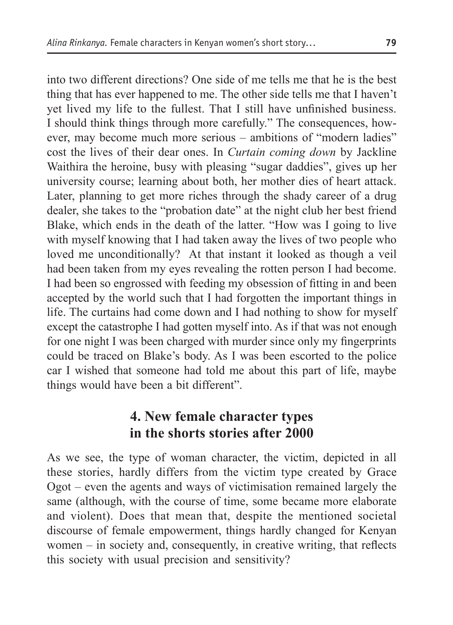into two different directions? One side of me tells me that he is the best thing that has ever happened to me. The other side tells me that I haven't yet lived my life to the fullest. That I still have unfinished business. I should think things through more carefully." The consequences, however, may become much more serious – ambitions of "modern ladies" cost the lives of their dear ones. In *Curtain coming down* by Jackline Waithira the heroine, busy with pleasing "sugar daddies", gives up her university course; learning about both, her mother dies of heart attack. Later, planning to get more riches through the shady career of a drug dealer, she takes to the "probation date" at the night club her best friend Blake, which ends in the death of the latter. "How was I going to live with myself knowing that I had taken away the lives of two people who loved me unconditionally? At that instant it looked as though a veil had been taken from my eyes revealing the rotten person I had become. I had been so engrossed with feeding my obsession of fitting in and been accepted by the world such that I had forgotten the important things in life. The curtains had come down and I had nothing to show for myself except the catastrophe I had gotten myself into. As if that was not enough for one night I was been charged with murder since only my fingerprints could be traced on Blake's body. As I was been escorted to the police car I wished that someone had told me about this part of life, maybe things would have been a bit different".

## **4. New female character types in the shorts stories after 2000**

As we see, the type of woman character, the victim, depicted in all these stories, hardly differs from the victim type created by Grace Ogot – even the agents and ways of victimisation remained largely the same (although, with the course of time, some became more elaborate and violent). Does that mean that, despite the mentioned societal discourse of female empowerment, things hardly changed for Kenyan women – in society and, consequently, in creative writing, that reflects this society with usual precision and sensitivity?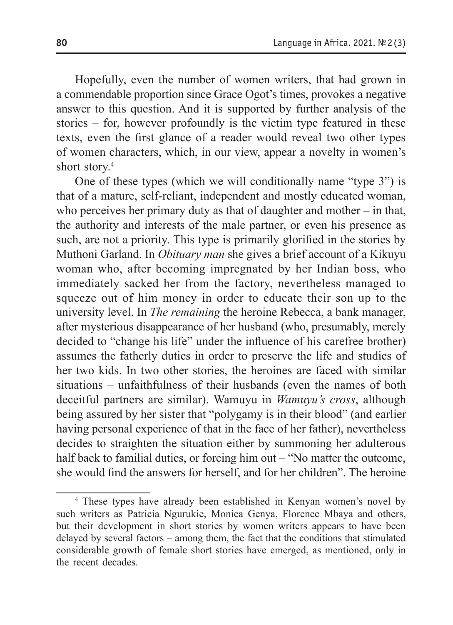Hopefully, even the number of women writers, that had grown in a commendable proportion since Grace Ogot's times, provokes a negative answer to this question. And it is supported by further analysis of the stories – for, however profoundly is the victim type featured in these texts, even the first glance of a reader would reveal two other types of women characters, which, in our view, appear a novelty in women's short story.<sup>4</sup>

One of these types (which we will conditionally name "type 3") is that of a mature, self-reliant, independent and mostly educated woman, who perceives her primary duty as that of daughter and mother – in that, the authority and interests of the male partner, or even his presence as such, are not a priority. This type is primarily glorified in the stories by Muthoni Garland. In *Obituary man* she gives a brief account of a Kikuyu woman who, after becoming impregnated by her Indian boss, who immediately sacked her from the factory, nevertheless managed to squeeze out of him money in order to educate their son up to the university level. In *The remaining* the heroine Rebecca, a bank manager, after mysterious disappearance of her husband (who, presumably, merely decided to "change his life" under the influence of his carefree brother) assumes the fatherly duties in order to preserve the life and studies of her two kids. In two other stories, the heroines are faced with similar situations – unfaithfulness of their husbands (even the names of both deceitful partners are similar). Wamuyu in *Wamuyu's cross*, although being assured by her sister that "polygamy is in their blood" (and earlier having personal experience of that in the face of her father), nevertheless decides to straighten the situation either by summoning her adulterous half back to familial duties, or forcing him out – "No matter the outcome, she would find the answers for herself, and for her children". The heroine

<sup>4</sup> These types have already been established in Kenyan women's novel by such writers as Patricia Ngurukie, Monica Genya, Florence Mbaya and others, but their development in short stories by women writers appears to have been delayed by several factors – among them, the fact that the conditions that stimulated considerable growth of female short stories have emerged, as mentioned, only in the recent decades.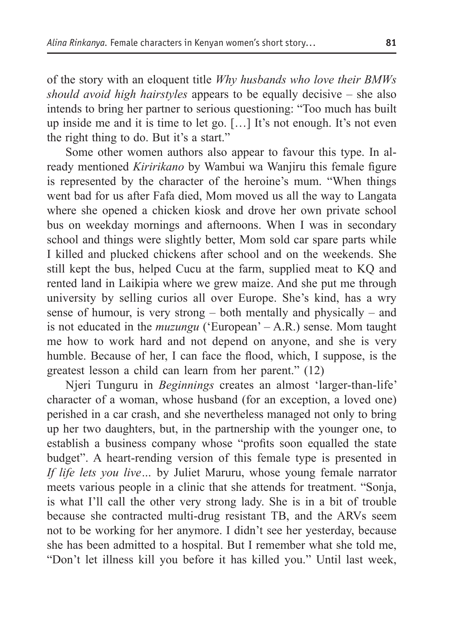of the story with an eloquent title *Why husbands who love their BMWs should avoid high hairstyles* appears to be equally decisive – she also intends to bring her partner to serious questioning: "Too much has built up inside me and it is time to let go. […] It's not enough. It's not even the right thing to do. But it's a start."

Some other women authors also appear to favour this type. In already mentioned *Kiririkano* by Wambui wa Wanjiru this female figure is represented by the character of the heroine's mum. "When things went bad for us after Fafa died, Mom moved us all the way to Langata where she opened a chicken kiosk and drove her own private school bus on weekday mornings and afternoons. When I was in secondary school and things were slightly better, Mom sold car spare parts while I killed and plucked chickens after school and on the weekends. She still kept the bus, helped Cucu at the farm, supplied meat to KQ and rented land in Laikipia where we grew maize. And she put me through university by selling curios all over Europe. She's kind, has a wry sense of humour, is very strong – both mentally and physically – and is not educated in the *muzungu* ('European' – A.R.) sense. Mom taught me how to work hard and not depend on anyone, and she is very humble. Because of her, I can face the flood, which, I suppose, is the greatest lesson a child can learn from her parent." (12)

Njeri Tunguru in *Beginnings* creates an almost 'larger-than-life' character of a woman, whose husband (for an exception, a loved one) perished in a car crash, and she nevertheless managed not only to bring up her two daughters, but, in the partnership with the younger one, to establish a business company whose "profits soon equalled the state budget". A heart-rending version of this female type is presented in *If life lets you live…* by Juliet Maruru, whose young female narrator meets various people in a clinic that she attends for treatment. "Sonja, is what I'll call the other very strong lady. She is in a bit of trouble because she contracted multi-drug resistant TB, and the ARVs seem not to be working for her anymore. I didn't see her yesterday, because she has been admitted to a hospital. But I remember what she told me, "Don't let illness kill you before it has killed you." Until last week,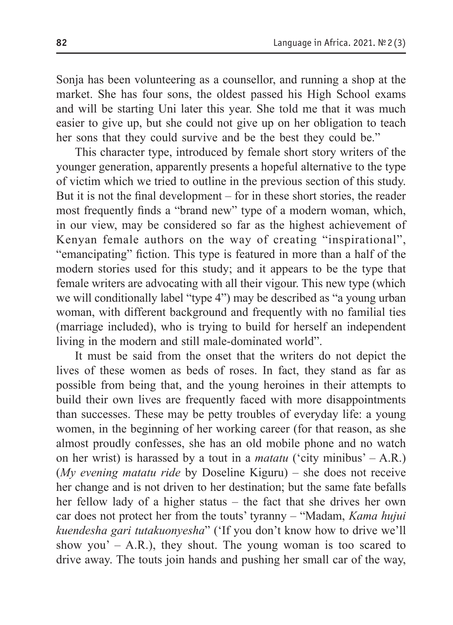Sonja has been volunteering as a counsellor, and running a shop at the market. She has four sons, the oldest passed his High School exams and will be starting Uni later this year. She told me that it was much easier to give up, but she could not give up on her obligation to teach her sons that they could survive and be the best they could be."

This character type, introduced by female short story writers of the younger generation, apparently presents a hopeful alternative to the type of victim which we tried to outline in the previous section of this study. But it is not the final development – for in these short stories, the reader most frequently finds a "brand new" type of a modern woman, which, in our view, may be considered so far as the highest achievement of Kenyan female authors on the way of creating "inspirational", "emancipating" fiction. This type is featured in more than a half of the modern stories used for this study; and it appears to be the type that female writers are advocating with all their vigour. This new type (which we will conditionally label "type 4") may be described as "a young urban woman, with different background and frequently with no familial ties (marriage included), who is trying to build for herself an independent living in the modern and still male-dominated world".

It must be said from the onset that the writers do not depict the lives of these women as beds of roses. In fact, they stand as far as possible from being that, and the young heroines in their attempts to build their own lives are frequently faced with more disappointments than successes. These may be petty troubles of everyday life: a young women, in the beginning of her working career (for that reason, as she almost proudly confesses, she has an old mobile phone and no watch on her wrist) is harassed by a tout in a *matatu* ('city minibus' – A.R.) (*My evening matatu ride* by Doseline Kiguru) – she does not receive her change and is not driven to her destination; but the same fate befalls her fellow lady of a higher status – the fact that she drives her own car does not protect her from the touts' tyranny – "Madam, *Kama hujui kuendesha gari tutakuonyesha*" ('If you don't know how to drive we'll show you' – A.R.), they shout. The young woman is too scared to drive away. The touts join hands and pushing her small car of the way,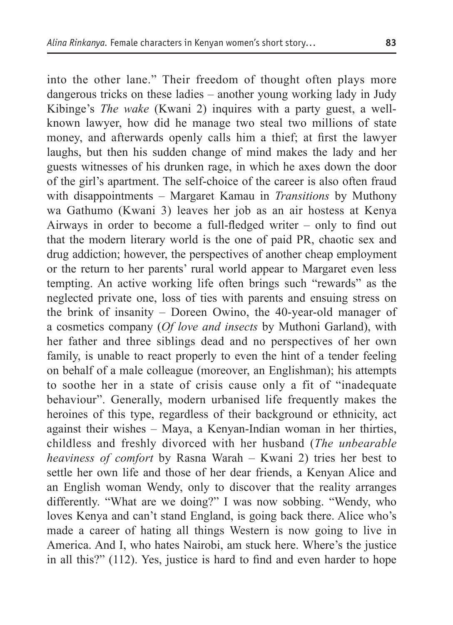into the other lane." Their freedom of thought often plays more dangerous tricks on these ladies – another young working lady in Judy Kibinge's *The wake* (Kwani 2) inquires with a party guest, a wellknown lawyer, how did he manage two steal two millions of state money, and afterwards openly calls him a thief; at first the lawyer laughs, but then his sudden change of mind makes the lady and her guests witnesses of his drunken rage, in which he axes down the door of the girl's apartment. The self-choice of the career is also often fraud with disappointments – Margaret Kamau in *Transitions* by Muthony wa Gathumo (Kwani 3) leaves her job as an air hostess at Kenya Airways in order to become a full-fledged writer – only to find out that the modern literary world is the one of paid PR, chaotic sex and drug addiction; however, the perspectives of another cheap employment or the return to her parents' rural world appear to Margaret even less tempting. An active working life often brings such "rewards" as the neglected private one, loss of ties with parents and ensuing stress on the brink of insanity – Doreen Owino, the 40-year-old manager of a cosmetics company (*Of love and insects* by Muthoni Garland), with her father and three siblings dead and no perspectives of her own family, is unable to react properly to even the hint of a tender feeling on behalf of a male colleague (moreover, an Englishman); his attempts to soothe her in a state of crisis cause only a fit of "inadequate behaviour". Generally, modern urbanised life frequently makes the heroines of this type, regardless of their background or ethnicity, act against their wishes – Maya, a Kenyan-Indian woman in her thirties, childless and freshly divorced with her husband (*The unbearable heaviness of comfort* by Rasna Warah – Kwani 2) tries her best to settle her own life and those of her dear friends, a Kenyan Alice and an English woman Wendy, only to discover that the reality arranges differently. "What are we doing?" I was now sobbing. "Wendy, who loves Kenya and can't stand England, is going back there. Alice who's made a career of hating all things Western is now going to live in America. And I, who hates Nairobi, am stuck here. Where's the justice in all this?" (112). Yes, justice is hard to find and even harder to hope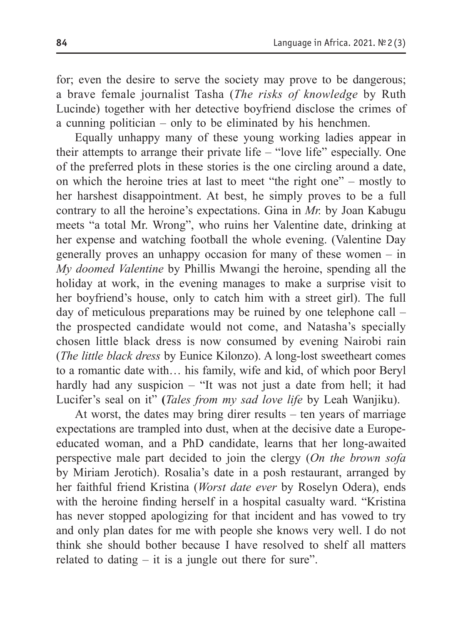for; even the desire to serve the society may prove to be dangerous; a brave female journalist Tasha (*The risks of knowledge* by Ruth Lucinde) together with her detective boyfriend disclose the crimes of a cunning politician – only to be eliminated by his henchmen.

Equally unhappy many of these young working ladies appear in their attempts to arrange their private life – "love life" especially. One of the preferred plots in these stories is the one circling around a date, on which the heroine tries at last to meet "the right one" – mostly to her harshest disappointment. At best, he simply proves to be a full contrary to all the heroine's expectations. Gina in *Mr.* by Joan Kabugu meets "a total Mr. Wrong", who ruins her Valentine date, drinking at her expense and watching football the whole evening. (Valentine Day generally proves an unhappy occasion for many of these women – in *My doomed Valentine* by Phillis Mwangi the heroine, spending all the holiday at work, in the evening manages to make a surprise visit to her boyfriend's house, only to catch him with a street girl). The full day of meticulous preparations may be ruined by one telephone call – the prospected candidate would not come, and Natasha's specially chosen little black dress is now consumed by evening Nairobi rain (*The little black dress* by Eunice Kilonzo). A long-lost sweetheart comes to a romantic date with… his family, wife and kid, of which poor Beryl hardly had any suspicion – "It was not just a date from hell; it had Lucifer's seal on it" **(***Tales from my sad love life* by Leah Wanjiku).

At worst, the dates may bring direr results – ten years of marriage expectations are trampled into dust, when at the decisive date a Europeeducated woman, and a PhD candidate, learns that her long-awaited perspective male part decided to join the clergy (*On the brown sofa* by Miriam Jerotich). Rosalia's date in a posh restaurant, arranged by her faithful friend Kristina (*Worst date ever* by Roselyn Odera), ends with the heroine finding herself in a hospital casualty ward. "Kristina" has never stopped apologizing for that incident and has vowed to try and only plan dates for me with people she knows very well. I do not think she should bother because I have resolved to shelf all matters related to dating – it is a jungle out there for sure".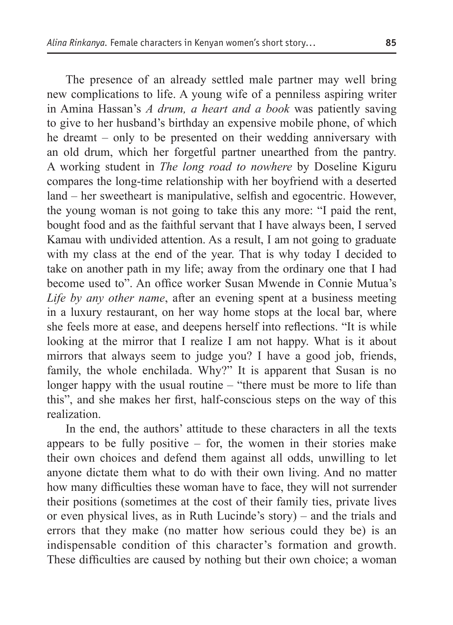The presence of an already settled male partner may well bring new complications to life. A young wife of a penniless aspiring writer in Amina Hassan's *A drum, a heart and a book* was patiently saving to give to her husband's birthday an expensive mobile phone, of which he dreamt – only to be presented on their wedding anniversary with an old drum, which her forgetful partner unearthed from the pantry. A working student in *The long road to nowhere* by Doseline Kiguru compares the long-time relationship with her boyfriend with a deserted land – her sweetheart is manipulative, selfish and egocentric. However, the young woman is not going to take this any more: "I paid the rent, bought food and as the faithful servant that I have always been, I served Kamau with undivided attention. As a result, I am not going to graduate with my class at the end of the year. That is why today I decided to take on another path in my life; away from the ordinary one that I had become used to". An office worker Susan Mwende in Connie Mutua's *Life by any other name*, after an evening spent at a business meeting in a luxury restaurant, on her way home stops at the local bar, where she feels more at ease, and deepens herself into reflections. "It is while looking at the mirror that I realize I am not happy. What is it about mirrors that always seem to judge you? I have a good job, friends, family, the whole enchilada. Why?" It is apparent that Susan is no longer happy with the usual routine – "there must be more to life than this", and she makes her first, half-conscious steps on the way of this realization.

In the end, the authors' attitude to these characters in all the texts appears to be fully positive  $-$  for, the women in their stories make their own choices and defend them against all odds, unwilling to let anyone dictate them what to do with their own living. And no matter how many difficulties these woman have to face, they will not surrender their positions (sometimes at the cost of their family ties, private lives or even physical lives, as in Ruth Lucinde's story) – and the trials and errors that they make (no matter how serious could they be) is an indispensable condition of this character's formation and growth. These difficulties are caused by nothing but their own choice; a woman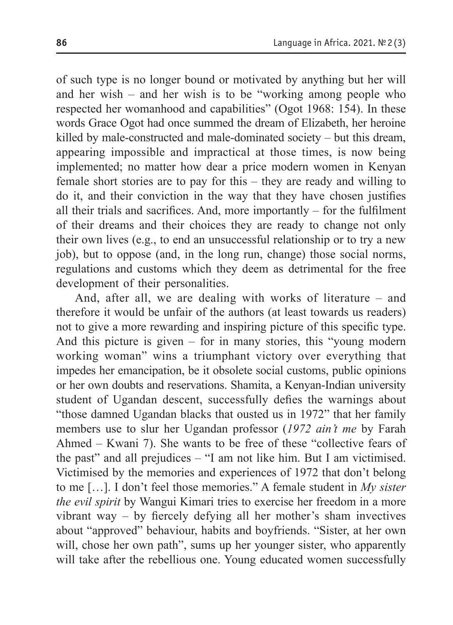of such type is no longer bound or motivated by anything but her will and her wish – and her wish is to be "working among people who respected her womanhood and capabilities" (Ogot 1968: 154). In these words Grace Ogot had once summed the dream of Elizabeth, her heroine killed by male-constructed and male-dominated society – but this dream, appearing impossible and impractical at those times, is now being implemented; no matter how dear a price modern women in Kenyan female short stories are to pay for this – they are ready and willing to do it, and their conviction in the way that they have chosen justifies all their trials and sacrifices. And, more importantly – for the fulfilment of their dreams and their choices they are ready to change not only their own lives (e.g., to end an unsuccessful relationship or to try a new job), but to oppose (and, in the long run, change) those social norms, regulations and customs which they deem as detrimental for the free development of their personalities.

And, after all, we are dealing with works of literature – and therefore it would be unfair of the authors (at least towards us readers) not to give a more rewarding and inspiring picture of this specific type. And this picture is given – for in many stories, this "young modern working woman" wins a triumphant victory over everything that impedes her emancipation, be it obsolete social customs, public opinions or her own doubts and reservations. Shamita, a Kenyan-Indian university student of Ugandan descent, successfully defies the warnings about "those damned Ugandan blacks that ousted us in 1972" that her family members use to slur her Ugandan professor (*1972 ain't me* by Farah Ahmed – Kwani 7). She wants to be free of these "collective fears of the past" and all prejudices – "I am not like him. But I am victimised. Victimised by the memories and experiences of 1972 that don't belong to me […]. I don't feel those memories." A female student in *My sister the evil spirit* by Wangui Kimari tries to exercise her freedom in a more vibrant way – by fiercely defying all her mother's sham invectives about "approved" behaviour, habits and boyfriends. "Sister, at her own will, chose her own path", sums up her younger sister, who apparently will take after the rebellious one. Young educated women successfully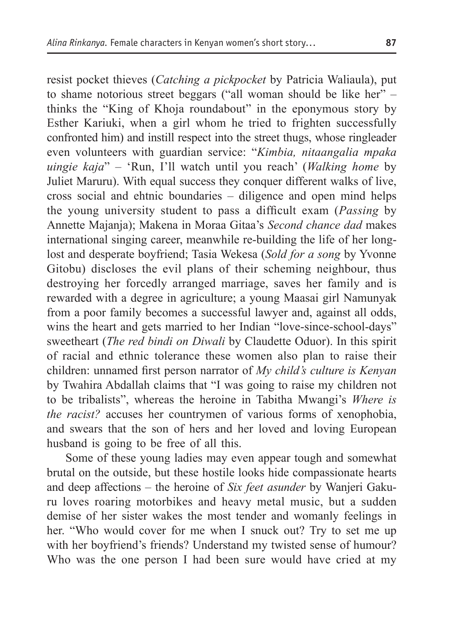resist pocket thieves (*Catching a pickpocket* by Patricia Waliaula), put to shame notorious street beggars ("all woman should be like her" – thinks the "King of Khoja roundabout" in the eponymous story by Esther Kariuki, when a girl whom he tried to frighten successfully confronted him) and instill respect into the street thugs, whose ringleader even volunteers with guardian service: "*Kimbia, nitaangalia mpaka uingie kaja*" – 'Run, I'll watch until you reach' (*Walking home* by Juliet Maruru). With equal success they conquer different walks of live, cross social and ehtnic boundaries – diligence and open mind helps the young university student to pass a difficult exam (*Passing* by Annette Majanja); Makena in Moraa Gitaa's *Second chance dad* makes international singing career, meanwhile re-building the life of her longlost and desperate boyfriend; Tasia Wekesa (*Sold for a song* by Yvonne Gitobu) discloses the evil plans of their scheming neighbour, thus destroying her forcedly arranged marriage, saves her family and is rewarded with a degree in agriculture; a young Maasai girl Namunyak from a poor family becomes a successful lawyer and, against all odds, wins the heart and gets married to her Indian "love-since-school-days" sweetheart (*The red bindi on Diwali* by Claudette Oduor). In this spirit of racial and ethnic tolerance these women also plan to raise their children: unnamed first person narrator of *My child's culture is Kenyan* by Twahira Abdallah claims that "I was going to raise my children not to be tribalists", whereas the heroine in Tabitha Mwangi's *Where is the racist?* accuses her countrymen of various forms of xenophobia, and swears that the son of hers and her loved and loving European husband is going to be free of all this.

Some of these young ladies may even appear tough and somewhat brutal on the outside, but these hostile looks hide compassionate hearts and deep affections – the heroine of *Six feet asunder* by Wanjeri Gakuru loves roaring motorbikes and heavy metal music, but a sudden demise of her sister wakes the most tender and womanly feelings in her. "Who would cover for me when I snuck out? Try to set me up with her boyfriend's friends? Understand my twisted sense of humour? Who was the one person I had been sure would have cried at my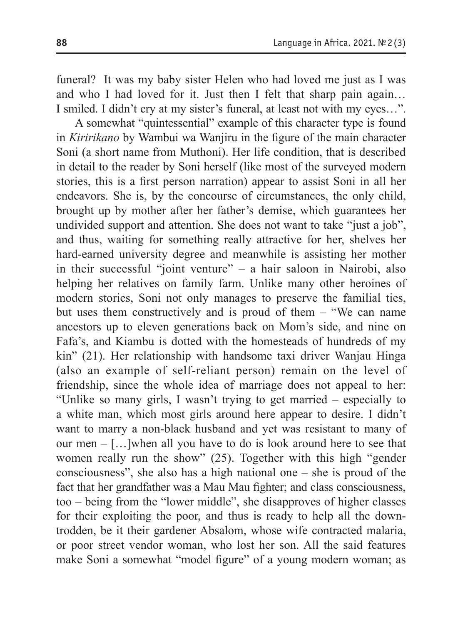funeral? It was my baby sister Helen who had loved me just as I was and who I had loved for it. Just then I felt that sharp pain again… I smiled. I didn't cry at my sister's funeral, at least not with my eyes…".

A somewhat "quintessential" example of this character type is found in *Kiririkano* by Wambui wa Wanjiru in the figure of the main character Soni (a short name from Muthoni). Her life condition, that is described in detail to the reader by Soni herself (like most of the surveyed modern stories, this is a first person narration) appear to assist Soni in all her endeavors. She is, by the concourse of circumstances, the only child, brought up by mother after her father's demise, which guarantees her undivided support and attention. She does not want to take "just a job", and thus, waiting for something really attractive for her, shelves her hard-earned university degree and meanwhile is assisting her mother in their successful "joint venture" – a hair saloon in Nairobi, also helping her relatives on family farm. Unlike many other heroines of modern stories, Soni not only manages to preserve the familial ties, but uses them constructively and is proud of them – "We can name ancestors up to eleven generations back on Mom's side, and nine on Fafa's, and Kiambu is dotted with the homesteads of hundreds of my kin" (21). Her relationship with handsome taxi driver Wanjau Hinga (also an example of self-reliant person) remain on the level of friendship, since the whole idea of marriage does not appeal to her: "Unlike so many girls, I wasn't trying to get married – especially to a white man, which most girls around here appear to desire. I didn't want to marry a non-black husband and yet was resistant to many of our men – […]when all you have to do is look around here to see that women really run the show" (25). Together with this high "gender consciousness", she also has a high national one – she is proud of the fact that her grandfather was a Mau Mau fighter; and class consciousness, too – being from the "lower middle", she disapproves of higher classes for their exploiting the poor, and thus is ready to help all the downtrodden, be it their gardener Absalom, whose wife contracted malaria, or poor street vendor woman, who lost her son. All the said features make Soni a somewhat "model figure" of a young modern woman; as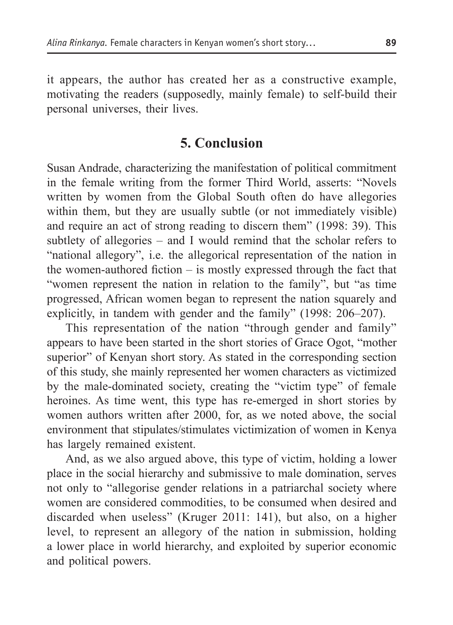it appears, the author has created her as a constructive example, motivating the readers (supposedly, mainly female) to self-build their personal universes, their lives.

#### **5. Conclusion**

Susan Andrade, characterizing the manifestation of political commitment in the female writing from the former Third World, asserts: "Novels written by women from the Global South often do have allegories within them, but they are usually subtle (or not immediately visible) and require an act of strong reading to discern them" (1998: 39). This subtlety of allegories – and I would remind that the scholar refers to "national allegory", i.e. the allegorical representation of the nation in the women-authored fiction – is mostly expressed through the fact that "women represent the nation in relation to the family", but "as time progressed, African women began to represent the nation squarely and explicitly, in tandem with gender and the family" (1998: 206–207).

This representation of the nation "through gender and family" appears to have been started in the short stories of Grace Ogot, "mother superior" of Kenyan short story. As stated in the corresponding section of this study, she mainly represented her women characters as victimized by the male-dominated society, creating the "victim type" of female heroines. As time went, this type has re-emerged in short stories by women authors written after 2000, for, as we noted above, the social environment that stipulates/stimulates victimization of women in Kenya has largely remained existent.

And, as we also argued above, this type of victim, holding a lower place in the social hierarchy and submissive to male domination, serves not only to "allegorise gender relations in a patriarchal society where women are considered commodities, to be consumed when desired and discarded when useless" (Kruger 2011: 141), but also, on a higher level, to represent an allegory of the nation in submission, holding a lower place in world hierarchy, and exploited by superior economic and political powers.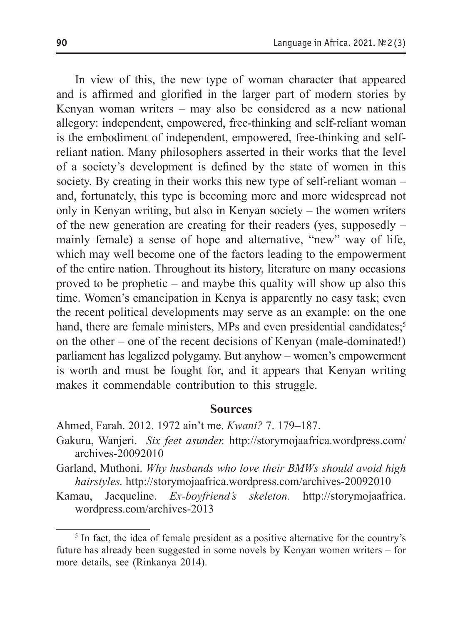In view of this, the new type of woman character that appeared and is affirmed and glorified in the larger part of modern stories by Kenyan woman writers – may also be considered as a new national allegory: independent, empowered, free-thinking and self-reliant woman is the embodiment of independent, empowered, free-thinking and selfreliant nation. Many philosophers asserted in their works that the level of a society's development is defined by the state of women in this society. By creating in their works this new type of self-reliant woman – and, fortunately, this type is becoming more and more widespread not only in Kenyan writing, but also in Kenyan society – the women writers of the new generation are creating for their readers (yes, supposedly – mainly female) a sense of hope and alternative, "new" way of life, which may well become one of the factors leading to the empowerment of the entire nation. Throughout its history, literature on many occasions proved to be prophetic – and maybe this quality will show up also this time. Women's emancipation in Kenya is apparently no easy task; even the recent political developments may serve as an example: on the one hand, there are female ministers, MPs and even presidential candidates;<sup>5</sup> on the other – one of the recent decisions of Kenyan (male-dominated!) parliament has legalized polygamy. But anyhow – women's empowerment is worth and must be fought for, and it appears that Kenyan writing makes it commendable contribution to this struggle.

#### **Sources**

Ahmed, Farah. 2012. 1972 ain't me. *Kwani?* 7. 179–187.

- Gakuru, Wanjeri. *Six feet asunder.* http://storymojaafrica.wordpress.com/ archives-20092010
- Garland, Muthoni. *Why husbands who love their BMWs should avoid high hairstyles.* http://storymojaafrica.wordpress.com/archives-20092010
- Kamau, Jacqueline. *Ex-boyfriend's skeleton.* http://storymojaafrica. wordpress.com/archives-2013

<sup>&</sup>lt;sup>5</sup> In fact, the idea of female president as a positive alternative for the country's future has already been suggested in some novels by Kenyan women writers – for more details, see (Rinkanya 2014).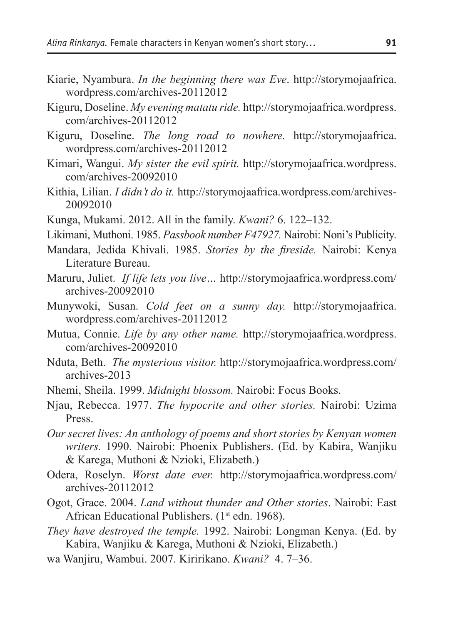- Kiarie, Nyambura. *In the beginning there was Eve*. http://storymojaafrica. wordpress.com/archives-20112012
- Kiguru, Doseline. *My evening matatu ride.* http://storymojaafrica.wordpress. com/archives-20112012
- Kiguru, Doseline. *The long road to nowhere.* http://storymojaafrica. wordpress.com/archives-20112012
- Kimari, Wangui. *My sister the evil spirit.* http://storymojaafrica.wordpress. com/archives-20092010
- Kithia, Lilian. *I didn't do it.* http://storymojaafrica.wordpress.com/archives-20092010
- Kunga, Mukami. 2012. All in the family. *Kwani?* 6. 122–132.
- Likimani, Muthoni. 1985. *Passbook number F47927.* Nairobi: Noni's Publicity.
- Mandara, Jedida Khivali. 1985. *Stories by the fireside.* Nairobi: Kenya Literature Bureau.
- Maruru, Juliet. *If life lets you live…* http://storymojaafrica.wordpress.com/ archives-20092010
- Munywoki, Susan. *Cold feet on a sunny day.* http://storymojaafrica. wordpress.com/archives-20112012
- Mutua, Connie. *Life by any other name.* http://storymojaafrica.wordpress. com/archives-20092010
- Nduta, Beth. *The mysterious visitor.* http://storymojaafrica.wordpress.com/ archives-2013
- Nhemi, Sheila. 1999. *Midnight blossom.* Nairobi: Focus Books.
- Njau, Rebecca. 1977. *The hypocrite and other stories.* Nairobi: Uzima Press.
- *Our secret lives: An anthology of poems and short stories by Kenyan women writers.* 1990. Nairobi: Phoenix Publishers. (Ed. by Kabira, Wanjiku & Karega, Muthoni & Nzioki, Elizabeth.)
- Odera, Roselyn. *Worst date ever.* http://storymojaafrica.wordpress.com/ archives-20112012
- Ogot, Grace. 2004. *Land without thunder and Other stories*. Nairobi: East African Educational Publishers. (1<sup>st</sup> edn. 1968).
- *They have destroyed the temple.* 1992. Nairobi: Longman Kenya. (Ed. by Kabira, Wanjiku & Karega, Muthoni & Nzioki, Elizabeth.)
- wa Wanjiru, Wambui. 2007. Kiririkano. *Kwani?* 4. 7–36.